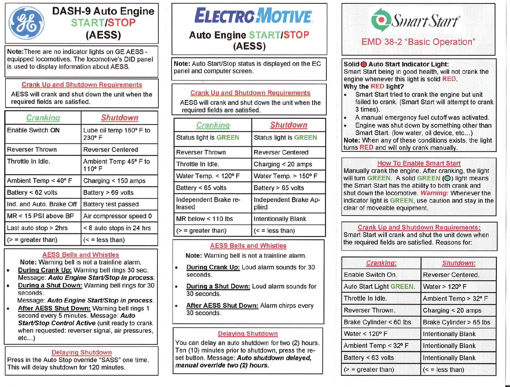

## **DASH-9 Auto Engine START/STOP (AESS)**

Note:There are no indicator lights on GE AESS equipped locomotives. The locomotive's DID panel is used to display information about AESS.

#### Crank Up and Shutdown Requirements

AESS will crank and shut down the unit when the required fields are satisfied.

| Cranking                 | <b>Shutdown</b>                  |
|--------------------------|----------------------------------|
| Enable Switch ON         | Lube oil temp 160° F to<br>230°F |
| <b>Reverser Thrown</b>   | <b>Reverser Centered</b>         |
| Throttle In Idle.        | Ambient Temp 45° F to<br>110°F   |
| Ambient Temp < 40° F     | Charging $<$ 150 amps            |
| Battery < 62 volts       | Battery > 69 volts               |
| Ind. and Auto. Brake Off | Battery test passed              |
| MR < 15 PSI above BP     | Air compressor speed 0           |
| Last auto stop > 2hrs    | < 8 auto stops in 24 hrs         |
| $(>=$ greater than)      | $(<$ = less than)                |

#### AESS Bells and Whistles

Note: Warning bell is not a trainline alarm.

- Durinq Crank Up: Warning bell rings 30 sec. Message: *Auto Engine* Start/Stop *in process.*
- During a Shut Down: Warning bell rings for 30 seconds.

Message: *Auto Engine* Start/Stop *in process.*

• After AESS Shut Down: Warning bell rings 1 second every 5 minutes. Message: *Auto* Start/Stop *Control Active* (unit ready to crank when requested: reverser signal, air pressures,  $etc...$ )

#### Delaying Shutdown

Press in the Auto Stop override "SASS" one time. This will delay shutdown for 120 minutes.

# **ELECTROMOTIVE**

### **Auto Engine START/STOP (AESS)**

Note: Auto Start/Stop status is displayed on the EC panel and computer screen.

#### Crank Up and Shutdown Reguirements

AESS will crank and shut down the unit when the required fields are satisfied.

| Cranking                        | <b>Shutdown</b>                |
|---------------------------------|--------------------------------|
| <b>Status light is GREEN</b>    | <b>Status light is GREEN</b>   |
| <b>Reverser Thrown</b>          | <b>Reverser Centered</b>       |
| Throttle In Idle.               | Charging $<$ 20 amps           |
| Water Temp. < 120° F            | Water Temp. > 150° F           |
| Battery < 65 volts              | Battery > 65 volts             |
| Independent Brake re-<br>leased | Independent Brake Ap-<br>plied |
| $MR$ below < 110 lbs            | <b>Intentionally Blank</b>     |
| $\geq$ = greater than)          | $(<$ = less than)              |

#### AESS Bells and Whistles

Note: Warning bell is not a trainline alarm.

- During Crank Up: Loud alarm sounds for 30 seconds.
- During a Shut Down: Loud alarm sounds for 30 seconds.
- After AESS Shut Down: Alarm chirps every 30 seconds.

#### Delaying Shutdown

You can delay an auto shutdown for two (2) hours. Ten (10) minutes prior to shutdown, press the reset button. Message: *Auto shutdown delayed, manual override* two (2) *hours.*



Solid <sup>O</sup> Auto Start Indicator Light: Smart Start being in good health, will not crank the engine whenever this light is solid RED. Why the RED light?

- Smart Start tried to crank the engine but unit failed to crank. (Smart Start will attempt to crank 3 times).
- A manual emergency fuel cutoff was activated.
- Engine was shut down by something other than Smart Start. (low water, oil device, etc...)

Note: When any of these conditions exists, the light turns RED and will only crank manually.

#### How To Enable Smart Start

Manually crank the engine. After cranking, the light will turn GREEN. A solid GREEN (O) light means the Smart Start has the ability to both crank and shut down the locomotive. *Warning:* Whenever the indicator light is GREEN, use caution and stay in the clear of moveable equipment.

## Crank Up and Shutdown Requirements:

Smart Start will crank and shut the unit down when the required fields are satisfied. Reasons for:

| Cranking:               | Shutdown:                  |
|-------------------------|----------------------------|
| Enable Switch On.       | Reverser Centered.         |
| Auto Start Light GREEN. | Water > 120° F             |
| Throttle In Idle.       | Ambient Temp > 32° F       |
| Reverser Thrown.        | Charging $<$ 20 amps       |
| Brake Cylinder < 60 lbs | Brake Cylinder > 65 lbs    |
| Water < 120° F          | <b>Intentionally Blank</b> |
| Ambient Temp < 32° F    | <b>Intentionally Blank</b> |
| Battery < 63 volts      | <b>Intentionally Blank</b> |
| $(>=$ greater than)     | $(<$ = less than)          |